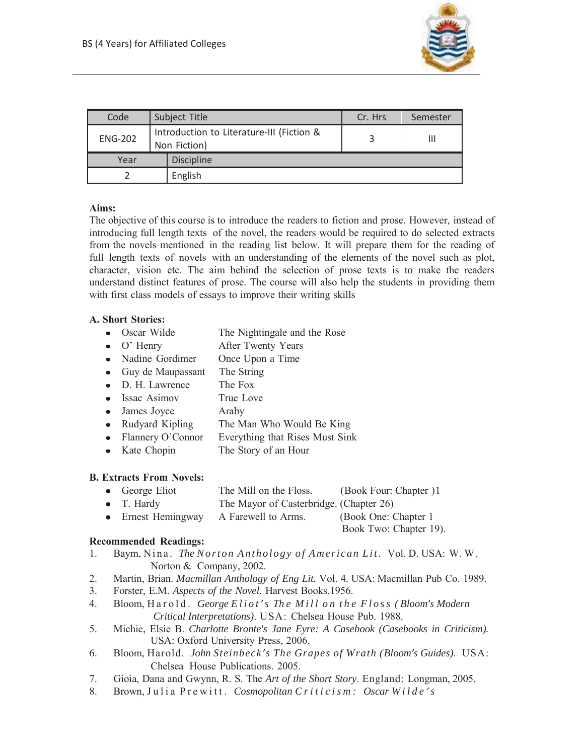

| Code           | Subject Title                                             | Cr. Hrs | Semester |
|----------------|-----------------------------------------------------------|---------|----------|
| <b>ENG-202</b> | Introduction to Literature-III (Fiction &<br>Non Fiction) |         | Ш        |
| Year           | <b>Discipline</b>                                         |         |          |
| English        |                                                           |         |          |

## **Aims:**

The objective of this course is to introduce the readers to fiction and prose. However, instead of introducing full length texts of the novel, the readers would be required to do selected extracts from the novels mentioned in the reading list below. It will prepare them for the reading of full length texts of novels with an understanding of the elements of the novel such as plot, character, vision etc. The aim behind the selection of prose texts is to make the readers understand distinct features of prose. The course will also help the students in providing them with first class models of essays to improve their writing skills

## **A. Short Stories:**

- Oscar Wilde The Nightingale and the Rose
- O' Henry After Twenty Years
- Nadine Gordimer Once Upon a Time
- Guy de Maupassant The String
- D. H. Lawrence The Fox
- Issac Asimov True Love
- James Joyce Araby
- Rudyard Kipling The Man Who Would Be King
- Flannery O'Connor Everything that Rises Must Sink
- Kate Chopin The Story of an Hour

# **B. Extracts From Novels:**

- George Eliot The Mill on the Floss. (Book Four: Chapter ) 1
- T. Hardy The Mayor of Casterbridge. (Chapter 26)
- Ernest Hemingway A Farewell to Arms. (Book One: Chapter 1)

Book Two: Chapter 19).

# **Recommended Readings:**

- 1. Baym, Nina. *The Norton Anthology of American Lit.* Vol. D. USA: W. W. Norton & Company, 2002.
- 2. Martin, Brian. *Macmillan Anthology of Eng Lit.* Vol. 4*.* USA: Macmillan Pub Co. 1989.
- 3. Forster, E.M. *Aspects of the Novel.* Harvest Books.1956.
- 4. Bloom, H a r o l d . *George E l i o t 's Th e M i l l o n t h e F l o s s ( Bloom's Modern Critical Interpretations)*. USA: Chelsea House Pub. 1988.
- 5. Michie, Elsie B. *Charlotte Bronte's Jane Eyre: A Casebook (Casebooks in Criticism).* USA: Oxford University Press, 2006.
- 6. Bloom, Harold. *John Steinbeck's The Grapes of Wrath (Bloom's Guides)*. USA: Chelsea House Publications. 2005.
- 7. Gioia, Dana and Gwynn, R. S. The *Art of the Short Story*. England: Longman, 2005.
- 8. Brown, Julia Prewitt. Cosmopolitan Criticism: Oscar Wilde's